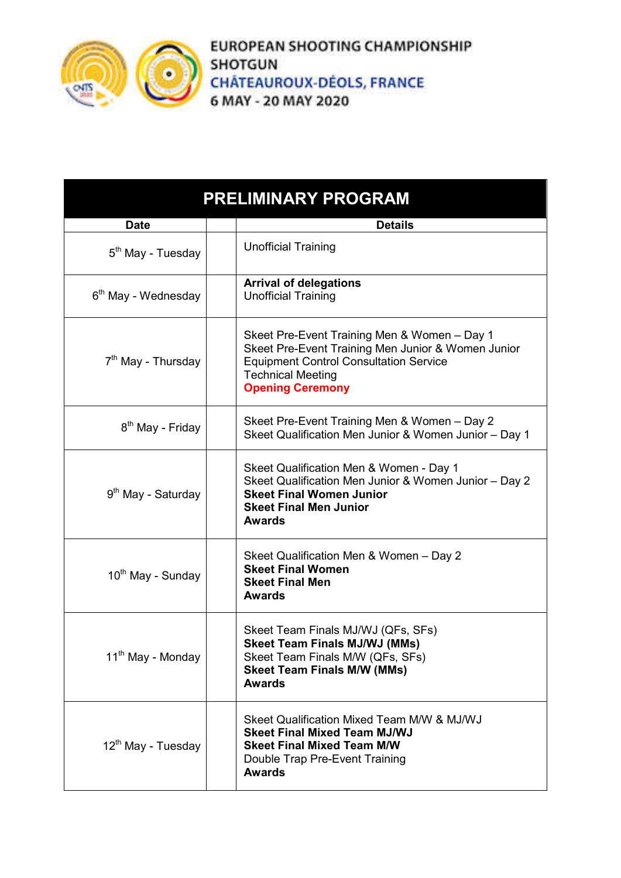

**EUROPEAN SHOOTING CHAMPIONSHIP SHOTGUN CHÂTEAUROUX-DÉOLS, FRANCE** 6 MAY - 20 MAY 2020

| <b>PRELIMINARY PROGRAM</b>      |                                                                                                                                                                                                            |  |
|---------------------------------|------------------------------------------------------------------------------------------------------------------------------------------------------------------------------------------------------------|--|
| <b>Date</b>                     | <b>Details</b>                                                                                                                                                                                             |  |
| 5 <sup>th</sup> May - Tuesday   | <b>Unofficial Training</b>                                                                                                                                                                                 |  |
| 6 <sup>th</sup> May - Wednesday | <b>Arrival of delegations</b><br><b>Unofficial Training</b>                                                                                                                                                |  |
| 7 <sup>th</sup> May - Thursday  | Skeet Pre-Event Training Men & Women - Day 1<br>Skeet Pre-Event Training Men Junior & Women Junior<br><b>Equipment Control Consultation Service</b><br><b>Technical Meeting</b><br><b>Opening Ceremony</b> |  |
| 8 <sup>th</sup> May - Friday    | Skeet Pre-Event Training Men & Women - Day 2<br>Skeet Qualification Men Junior & Women Junior - Day 1                                                                                                      |  |
| 9 <sup>th</sup> May - Saturday  | Skeet Qualification Men & Women - Day 1<br>Skeet Qualification Men Junior & Women Junior - Day 2<br><b>Skeet Final Women Junior</b><br><b>Skeet Final Men Junior</b><br><b>Awards</b>                      |  |
| 10 <sup>th</sup> May - Sunday   | Skeet Qualification Men & Women - Day 2<br><b>Skeet Final Women</b><br><b>Skeet Final Men</b><br><b>Awards</b>                                                                                             |  |
| 11 <sup>th</sup> May - Monday   | Skeet Team Finals MJ/WJ (QFs, SFs)<br><b>Skeet Team Finals MJ/WJ (MMs)</b><br>Skeet Team Finals M/W (QFs, SFs)<br><b>Skeet Team Finals M/W (MMs)</b><br><b>Awards</b>                                      |  |
| 12 <sup>th</sup> May - Tuesday  | Skeet Qualification Mixed Team M/W & MJ/WJ<br><b>Skeet Final Mixed Team MJ/WJ</b><br><b>Skeet Final Mixed Team M/W</b><br>Double Trap Pre-Event Training<br><b>Awards</b>                                  |  |